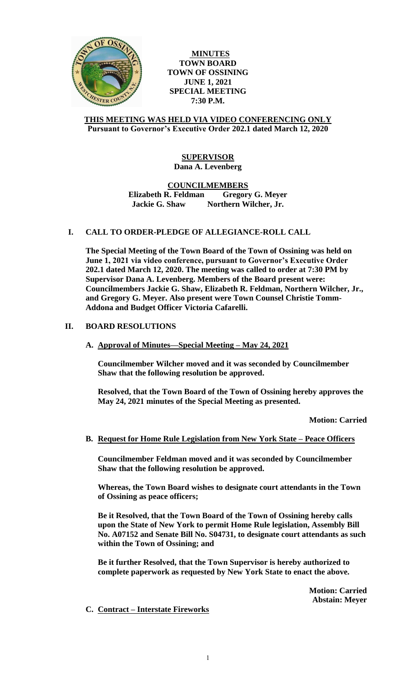

**MINUTES TOWN BOARD TOWN OF OSSINING JUNE 1, 2021 SPECIAL MEETING 7:30 P.M.**

#### **THIS MEETING WAS HELD VIA VIDEO CONFERENCING ONLY Pursuant to Governor's Executive Order 202.1 dated March 12, 2020**

# **SUPERVISOR Dana A. Levenberg**

**COUNCILMEMBERS**

**Elizabeth R. Feldman Gregory G. Meyer Jackie G. Shaw Northern Wilcher, Jr.**

# **I. CALL TO ORDER-PLEDGE OF ALLEGIANCE-ROLL CALL**

**The Special Meeting of the Town Board of the Town of Ossining was held on June 1, 2021 via video conference, pursuant to Governor's Executive Order 202.1 dated March 12, 2020. The meeting was called to order at 7:30 PM by Supervisor Dana A. Levenberg. Members of the Board present were: Councilmembers Jackie G. Shaw, Elizabeth R. Feldman, Northern Wilcher, Jr., and Gregory G. Meyer. Also present were Town Counsel Christie Tomm-Addona and Budget Officer Victoria Cafarelli.** 

# **II. BOARD RESOLUTIONS**

**A. Approval of Minutes—Special Meeting – May 24, 2021**

**Councilmember Wilcher moved and it was seconded by Councilmember Shaw that the following resolution be approved.**

**Resolved, that the Town Board of the Town of Ossining hereby approves the May 24, 2021 minutes of the Special Meeting as presented.**

**Motion: Carried**

#### **B. Request for Home Rule Legislation from New York State – Peace Officers**

**Councilmember Feldman moved and it was seconded by Councilmember Shaw that the following resolution be approved.** 

**Whereas, the Town Board wishes to designate court attendants in the Town of Ossining as peace officers;** 

**Be it Resolved, that the Town Board of the Town of Ossining hereby calls upon the State of New York to permit Home Rule legislation, Assembly Bill No. A07152 and Senate Bill No. S04731, to designate court attendants as such within the Town of Ossining; and** 

**Be it further Resolved, that the Town Supervisor is hereby authorized to complete paperwork as requested by New York State to enact the above.**

> **Motion: Carried Abstain: Meyer**

**C. Contract – Interstate Fireworks**